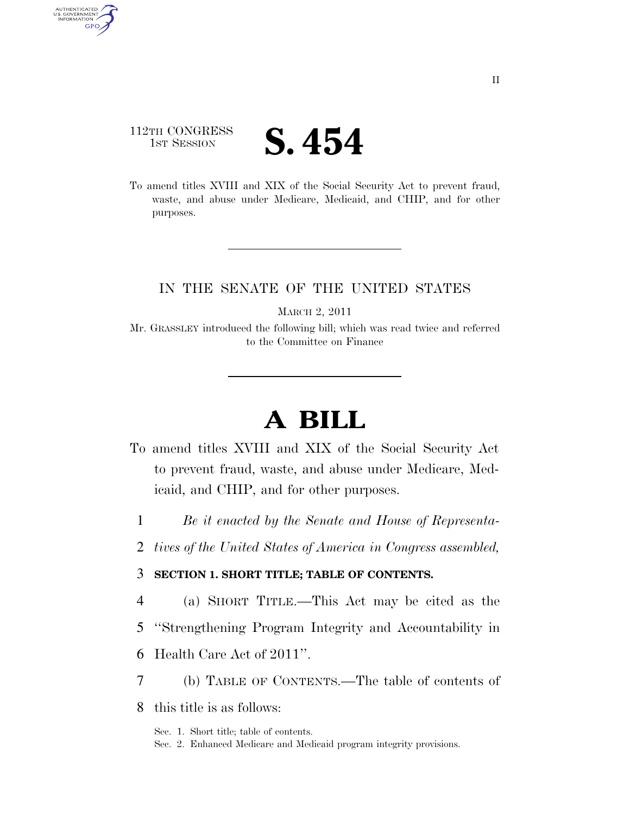## 112TH CONGRESS **IST SESSION S. 454**

AUTHENTICATED<br>U.S. GOVERNMENT<br>INFORMATION GPO

> To amend titles XVIII and XIX of the Social Security Act to prevent fraud, waste, and abuse under Medicare, Medicaid, and CHIP, and for other purposes.

### IN THE SENATE OF THE UNITED STATES

MARCH 2, 2011

Mr. GRASSLEY introduced the following bill; which was read twice and referred to the Committee on Finance

# **A BILL**

- To amend titles XVIII and XIX of the Social Security Act to prevent fraud, waste, and abuse under Medicare, Medicaid, and CHIP, and for other purposes.
	- 1 *Be it enacted by the Senate and House of Representa-*
	- 2 *tives of the United States of America in Congress assembled,*

#### 3 **SECTION 1. SHORT TITLE; TABLE OF CONTENTS.**

- 4 (a) SHORT TITLE.—This Act may be cited as the
- 5 ''Strengthening Program Integrity and Accountability in
- 6 Health Care Act of 2011''.
- 7 (b) TABLE OF CONTENTS.—The table of contents of
- 8 this title is as follows:

Sec. 1. Short title; table of contents. Sec. 2. Enhanced Medicare and Medicaid program integrity provisions.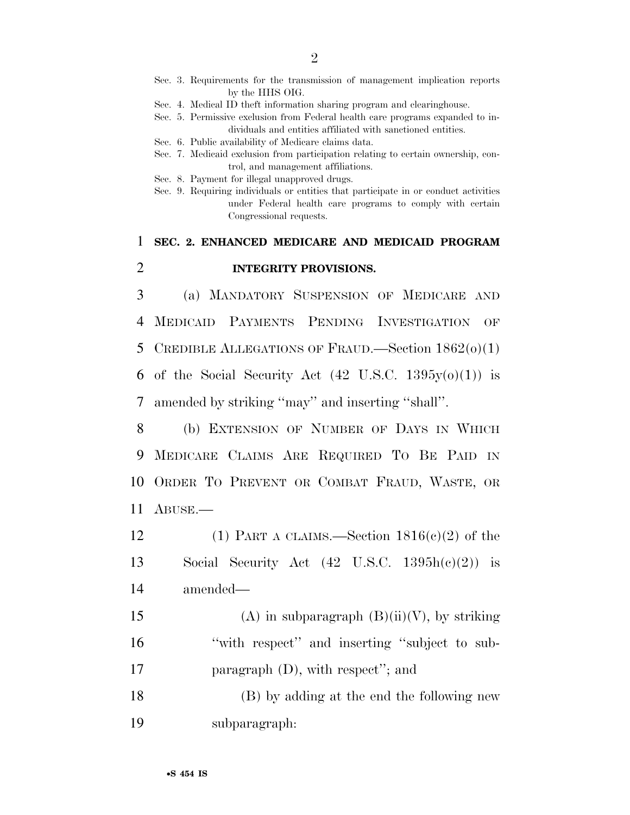- Sec. 3. Requirements for the transmission of management implication reports by the HHS OIG.
- Sec. 4. Medical ID theft information sharing program and clearinghouse.
- Sec. 5. Permissive exclusion from Federal health care programs expanded to individuals and entities affiliated with sanctioned entities.
- Sec. 6. Public availability of Medicare claims data.
- Sec. 7. Medicaid exclusion from participation relating to certain ownership, control, and management affiliations.
- Sec. 8. Payment for illegal unapproved drugs.
- Sec. 9. Requiring individuals or entities that participate in or conduct activities under Federal health care programs to comply with certain Congressional requests.

## 1 **SEC. 2. ENHANCED MEDICARE AND MEDICAID PROGRAM**  2 **INTEGRITY PROVISIONS.**

3 (a) MANDATORY SUSPENSION OF MEDICARE AND 4 MEDICAID PAYMENTS PENDING INVESTIGATION OF 5 CREDIBLE ALLEGATIONS OF FRAUD.—Section  $1862(0)(1)$ 6 of the Social Security Act  $(42 \text{ U.S.C. } 1395y(0)(1))$  is 7 amended by striking ''may'' and inserting ''shall''.

 (b) EXTENSION OF NUMBER OF DAYS IN WHICH MEDICARE CLAIMS ARE REQUIRED TO BE PAID IN ORDER TO PREVENT OR COMBAT FRAUD, WASTE, OR 11 ABUSE.—

- 12 (1) PART A CLAIMS.—Section  $1816(c)(2)$  of the 13 Social Security Act  $(42 \text{ U.S.C. } 1395h(e)(2))$  is 14 amended—
- 15 (A) in subparagraph  $(B)(ii)(V)$ , by striking 16 "with respect" and inserting "subject to sub-17 paragraph (D), with respect"; and

18 (B) by adding at the end the following new 19 subparagraph: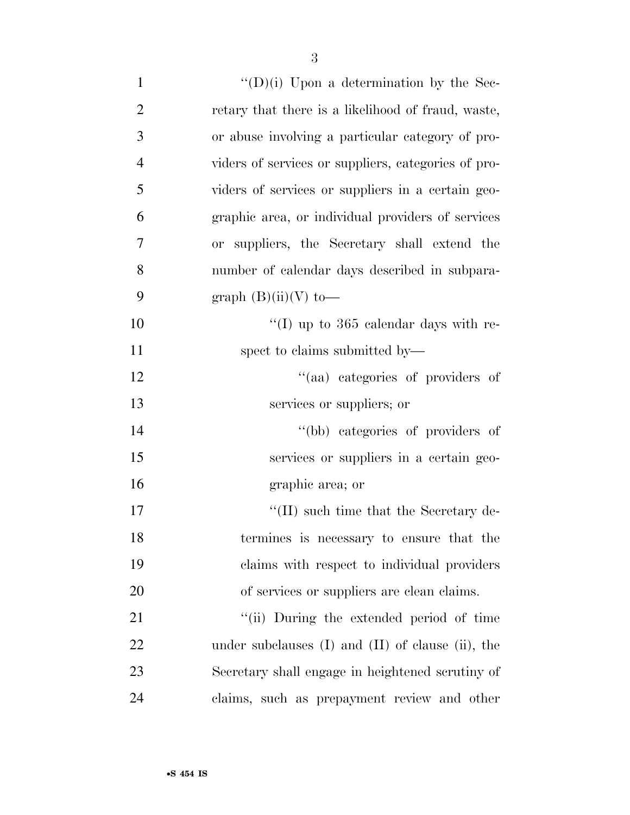| $\mathbf{1}$   | $\lq\lq$ (D)(i) Upon a determination by the Sec-         |
|----------------|----------------------------------------------------------|
| $\overline{2}$ | retary that there is a likelihood of fraud, waste,       |
| 3              | or abuse involving a particular category of pro-         |
| $\overline{4}$ | viders of services or suppliers, categories of pro-      |
| 5              | viders of services or suppliers in a certain geo-        |
| 6              | graphic area, or individual providers of services        |
| 7              | or suppliers, the Secretary shall extend the             |
| 8              | number of calendar days described in subpara-            |
| 9              | graph $(B)(ii)(V)$ to-                                   |
| 10             | "(I) up to $365$ calendar days with re-                  |
| 11             | spect to claims submitted by—                            |
| 12             | "(aa) categories of providers of                         |
| 13             | services or suppliers; or                                |
| 14             | "(bb) categories of providers of                         |
| 15             | services or suppliers in a certain geo-                  |
| 16             | graphic area; or                                         |
| 17             | $\lq\lq$ (II) such time that the Secretary de-           |
| 18             | termines is necessary to ensure that the                 |
| 19             | claims with respect to individual providers              |
| 20             | of services or suppliers are clean claims.               |
| 21             | "(ii) During the extended period of time                 |
| 22             | under subclauses $(I)$ and $(II)$ of clause $(ii)$ , the |
| 23             | Secretary shall engage in heightened scrutiny of         |
| 24             | claims, such as prepayment review and other              |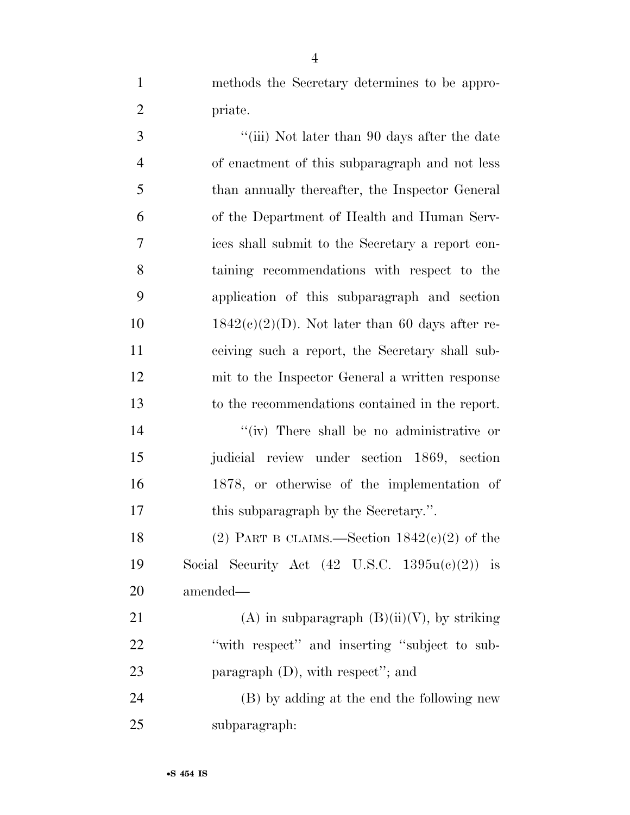methods the Secretary determines to be appro-priate.

3 ''(iii) Not later than 90 days after the date of enactment of this subparagraph and not less than annually thereafter, the Inspector General of the Department of Health and Human Serv- ices shall submit to the Secretary a report con- taining recommendations with respect to the application of this subparagraph and section  $1842(c)(2)(D)$ . Not later than 60 days after re- ceiving such a report, the Secretary shall sub- mit to the Inspector General a written response to the recommendations contained in the report.

 $''(iv)$  There shall be no administrative or judicial review under section 1869, section 1878, or otherwise of the implementation of this subparagraph by the Secretary.''.

18 (2) PART B CLAIMS.—Section  $1842(c)(2)$  of the 19 Social Security Act  $(42 \text{ U.S.C. } 1395u(c)(2))$  is amended—

21 (A) in subparagraph  $(B)(ii)(V)$ , by striking 22 "with respect" and inserting "subject to sub-23 paragraph (D), with respect"; and

 (B) by adding at the end the following new subparagraph: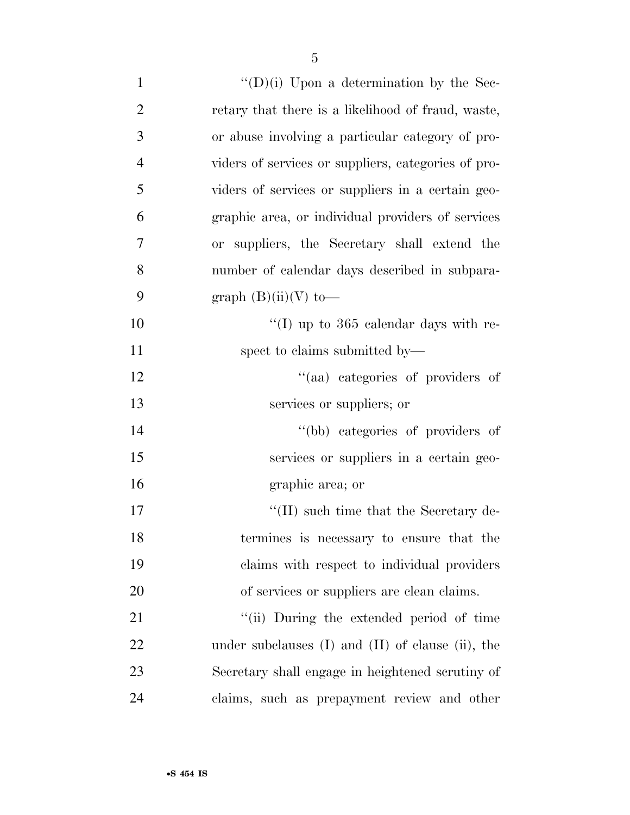| $\mathbf{1}$   | $\lq\lq$ (D)(i) Upon a determination by the Sec-         |
|----------------|----------------------------------------------------------|
| $\overline{2}$ | retary that there is a likelihood of fraud, waste,       |
| 3              | or abuse involving a particular category of pro-         |
| $\overline{4}$ | viders of services or suppliers, categories of pro-      |
| 5              | viders of services or suppliers in a certain geo-        |
| 6              | graphic area, or individual providers of services        |
| 7              | or suppliers, the Secretary shall extend the             |
| 8              | number of calendar days described in subpara-            |
| 9              | graph $(B)(ii)(V)$ to-                                   |
| 10             | "(I) up to $365$ calendar days with re-                  |
| 11             | spect to claims submitted by—                            |
| 12             | "(aa) categories of providers of                         |
| 13             | services or suppliers; or                                |
| 14             | "(bb) categories of providers of                         |
| 15             | services or suppliers in a certain geo-                  |
| 16             | graphic area; or                                         |
| 17             | $\lq\lq$ (II) such time that the Secretary de-           |
| 18             | termines is necessary to ensure that the                 |
| 19             | claims with respect to individual providers              |
| 20             | of services or suppliers are clean claims.               |
| 21             | "(ii) During the extended period of time                 |
| 22             | under subclauses $(I)$ and $(II)$ of clause $(ii)$ , the |
| 23             | Secretary shall engage in heightened scrutiny of         |
| 24             | claims, such as prepayment review and other              |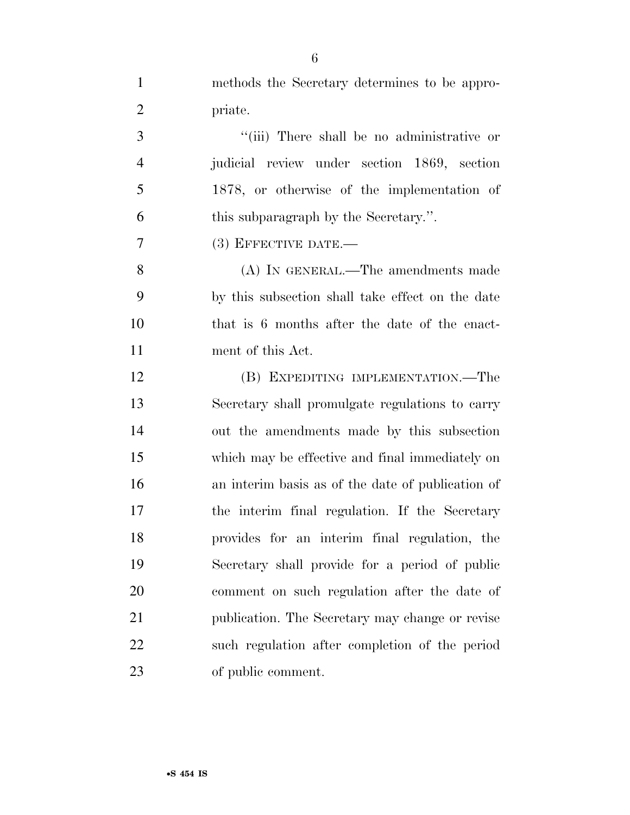| $\mathbf{1}$   | methods the Secretary determines to be appro-     |
|----------------|---------------------------------------------------|
| $\overline{2}$ | priate.                                           |
| 3              | "(iii) There shall be no administrative or        |
| $\overline{4}$ | judicial review under section 1869, section       |
| 5              | 1878, or otherwise of the implementation of       |
| 6              | this subparagraph by the Secretary.".             |
| $\overline{7}$ | $(3)$ EFFECTIVE DATE.—                            |
| 8              | (A) IN GENERAL.—The amendments made               |
| 9              | by this subsection shall take effect on the date  |
| 10             | that is 6 months after the date of the enact-     |
| 11             | ment of this Act.                                 |
| 12             | (B) EXPEDITING IMPLEMENTATION.—The                |
| 13             | Secretary shall promulgate regulations to carry   |
| 14             | out the amendments made by this subsection        |
| 15             | which may be effective and final immediately on   |
| 16             | an interim basis as of the date of publication of |
| 17             | the interim final regulation. If the Secretary    |
| 18             | provides for an interim final regulation, the     |
| 19             | Secretary shall provide for a period of public    |
| 20             | comment on such regulation after the date of      |
| 21             | publication. The Secretary may change or revise   |
| 22             | such regulation after completion of the period    |
| 23             | of public comment.                                |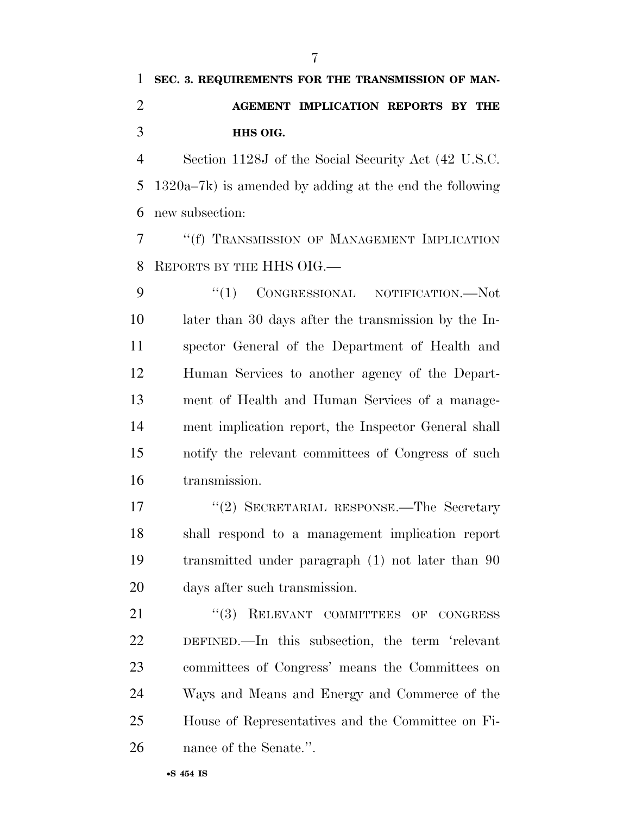# **SEC. 3. REQUIREMENTS FOR THE TRANSMISSION OF MAN- AGEMENT IMPLICATION REPORTS BY THE HHS OIG.**

 Section 1128J of the Social Security Act (42 U.S.C. 1320a–7k) is amended by adding at the end the following new subsection:

 ''(f) TRANSMISSION OF MANAGEMENT IMPLICATION REPORTS BY THE HHS OIG.—

9 "(1) CONGRESSIONAL NOTIFICATION.—Not later than 30 days after the transmission by the In- spector General of the Department of Health and Human Services to another agency of the Depart- ment of Health and Human Services of a manage- ment implication report, the Inspector General shall notify the relevant committees of Congress of such transmission.

17 ''(2) SECRETARIAL RESPONSE.—The Secretary shall respond to a management implication report transmitted under paragraph (1) not later than 90 days after such transmission.

21 "(3) RELEVANT COMMITTEES OF CONGRESS DEFINED.—In this subsection, the term 'relevant committees of Congress' means the Committees on Ways and Means and Energy and Commerce of the House of Representatives and the Committee on Fi-nance of the Senate.''.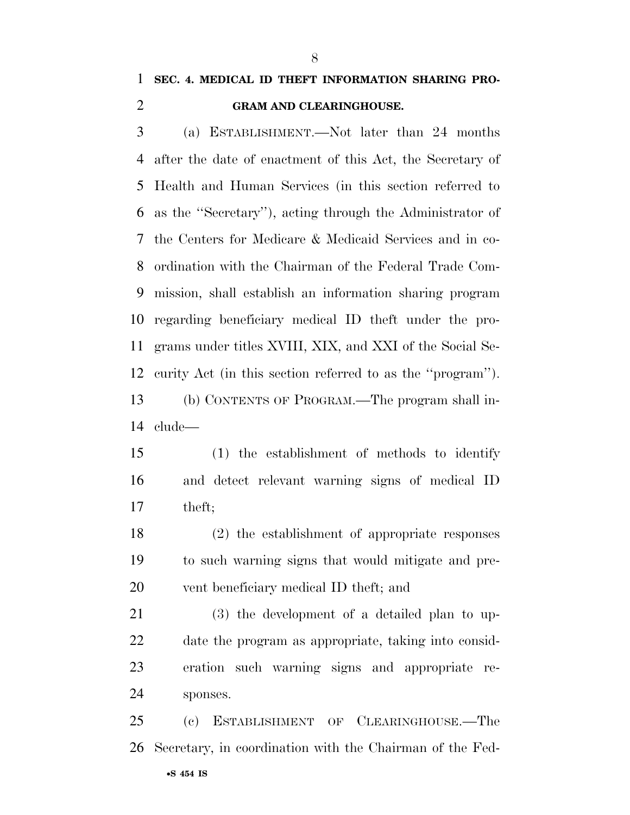## **SEC. 4. MEDICAL ID THEFT INFORMATION SHARING PRO-GRAM AND CLEARINGHOUSE.**

 (a) ESTABLISHMENT.—Not later than 24 months after the date of enactment of this Act, the Secretary of Health and Human Services (in this section referred to as the ''Secretary''), acting through the Administrator of the Centers for Medicare & Medicaid Services and in co- ordination with the Chairman of the Federal Trade Com- mission, shall establish an information sharing program regarding beneficiary medical ID theft under the pro- grams under titles XVIII, XIX, and XXI of the Social Se- curity Act (in this section referred to as the ''program''). (b) CONTENTS OF PROGRAM.—The program shall in-clude—

 (1) the establishment of methods to identify and detect relevant warning signs of medical ID theft;

 (2) the establishment of appropriate responses to such warning signs that would mitigate and pre-vent beneficiary medical ID theft; and

 (3) the development of a detailed plan to up- date the program as appropriate, taking into consid- eration such warning signs and appropriate re-sponses.

•**S 454 IS** (c) ESTABLISHMENT OF CLEARINGHOUSE.—The Secretary, in coordination with the Chairman of the Fed-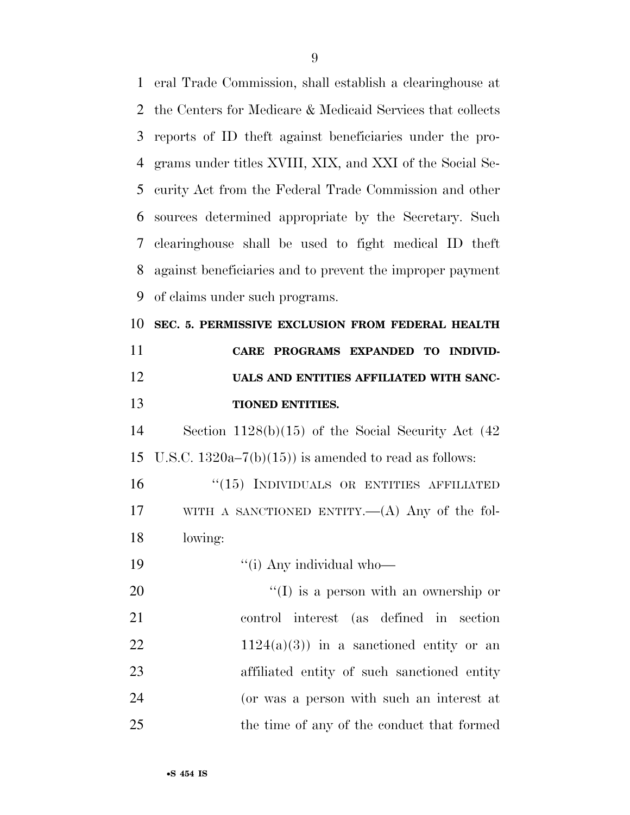eral Trade Commission, shall establish a clearinghouse at the Centers for Medicare & Medicaid Services that collects reports of ID theft against beneficiaries under the pro- grams under titles XVIII, XIX, and XXI of the Social Se- curity Act from the Federal Trade Commission and other sources determined appropriate by the Secretary. Such clearinghouse shall be used to fight medical ID theft against beneficiaries and to prevent the improper payment of claims under such programs. **SEC. 5. PERMISSIVE EXCLUSION FROM FEDERAL HEALTH CARE PROGRAMS EXPANDED TO INDIVID- UALS AND ENTITIES AFFILIATED WITH SANC- TIONED ENTITIES.**  Section 1128(b)(15) of the Social Security Act (42 15 U.S.C.  $1320a-7(b)(15)$  is amended to read as follows: 16 "(15) INDIVIDUALS OR ENTITIES AFFILIATED WITH A SANCTIONED ENTITY.—(A) Any of the fol- lowing:  $\frac{1}{10}$   $\frac{1}{2}$   $\frac{1}{2}$   $\frac{1}{2}$   $\frac{1}{2}$   $\frac{1}{2}$   $\frac{1}{2}$   $\frac{1}{2}$   $\frac{1}{2}$   $\frac{1}{2}$   $\frac{1}{2}$   $\frac{1}{2}$   $\frac{1}{2}$   $\frac{1}{2}$   $\frac{1}{2}$   $\frac{1}{2}$   $\frac{1}{2}$   $\frac{1}{2}$   $\frac{1}{2}$   $\frac{1}{2}$   $\frac{1}{2}$   $\frac{1}{2}$  ''(I) is a person with an ownership or control interest (as defined in section 22 1124(a)(3)) in a sanctioned entity or an affiliated entity of such sanctioned entity (or was a person with such an interest at the time of any of the conduct that formed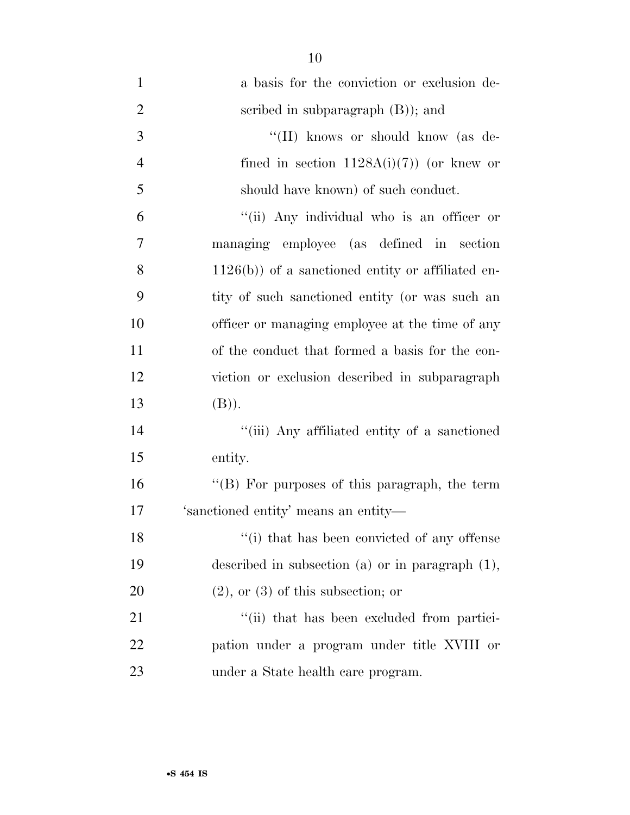| $\mathbf{1}$   | a basis for the conviction or exclusion de-          |
|----------------|------------------------------------------------------|
| $\overline{2}$ | scribed in subparagraph $(B)$ ); and                 |
| 3              | "(II) knows or should know (as de-                   |
| $\overline{4}$ | fined in section $1128A(i)(7)$ (or knew or           |
| 5              | should have known) of such conduct.                  |
| 6              | "(ii) Any individual who is an officer or            |
| 7              | managing employee (as defined in section             |
| 8              | $1126(b)$ ) of a sanctioned entity or affiliated en- |
| 9              | tity of such sanctioned entity (or was such an       |
| 10             | officer or managing employee at the time of any      |
| 11             | of the conduct that formed a basis for the con-      |
| 12             | viction or exclusion described in subparagraph       |
| 13             | (B)).                                                |
| 14             | "(iii) Any affiliated entity of a sanctioned         |
| 15             | entity.                                              |
| 16             | "(B) For purposes of this paragraph, the term        |
| 17             | 'sanctioned entity' means an entity-                 |
| 18             | "(i) that has been convicted of any offense"         |
| 19             | described in subsection (a) or in paragraph $(1)$ ,  |
| <b>20</b>      | $(2)$ , or $(3)$ of this subsection; or              |
| 21             | "(ii) that has been excluded from partici-           |
| 22             | pation under a program under title XVIII or          |
| 23             | under a State health care program.                   |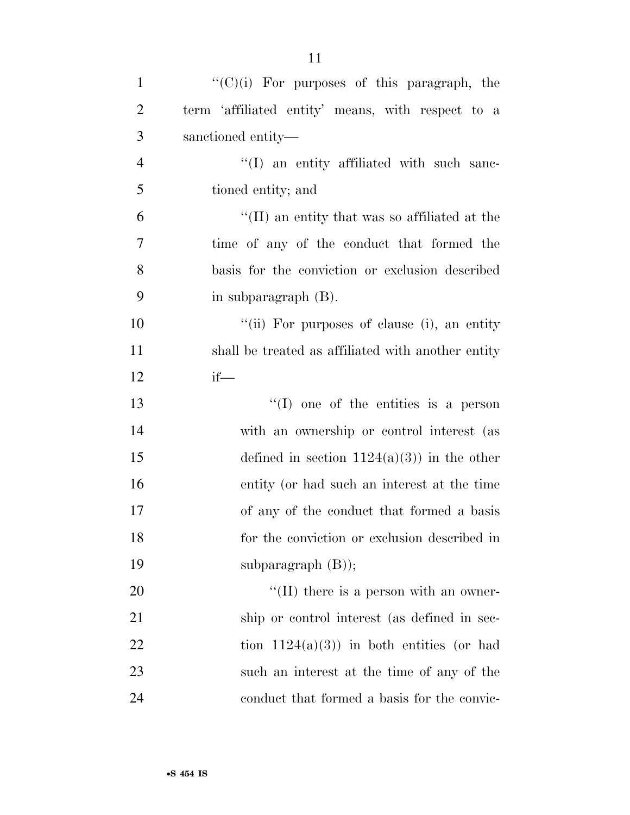| $\mathbf{1}$   | $"({\rm C})(i)$ For purposes of this paragraph, the                |
|----------------|--------------------------------------------------------------------|
| $\overline{2}$ | term 'affiliated entity' means, with respect to a                  |
| 3              | sanctioned entity—                                                 |
| $\overline{4}$ | $\lq(1)$ an entity affiliated with such sanc-                      |
| 5              | tioned entity; and                                                 |
| 6              | $\rm ^{\prime \prime}(II)$ an entity that was so affiliated at the |
| 7              | time of any of the conduct that formed the                         |
| 8              | basis for the conviction or exclusion described                    |
| 9              | in subparagraph (B).                                               |
| 10             | "(ii) For purposes of clause (i), an entity                        |
| 11             | shall be treated as affiliated with another entity                 |
| 12             | $if$ —                                                             |
| 13             | $\lq(1)$ one of the entities is a person                           |
| 14             | with an ownership or control interest (as                          |
| 15             | defined in section $1124(a)(3)$ in the other                       |
| 16             | entity (or had such an interest at the time                        |
| 17             | of any of the conduct that formed a basis                          |
| 18             | for the conviction or exclusion described in                       |
| 19             | subparagraph $(B)$ );                                              |
| 20             | $\lq\lq$ (II) there is a person with an owner-                     |
| 21             | ship or control interest (as defined in sec-                       |
| 22             | tion $1124(a)(3)$ in both entities (or had                         |
| 23             | such an interest at the time of any of the                         |
| 24             | conduct that formed a basis for the convic-                        |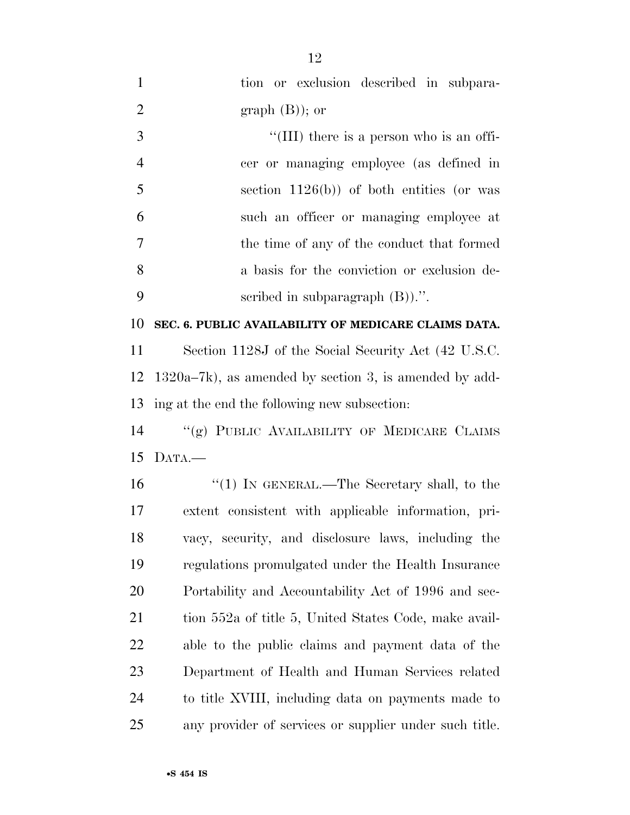| $\mathbf{1}$   | tion or exclusion described in subpara-                  |
|----------------|----------------------------------------------------------|
| $\overline{2}$ | graph $(B)$ ; or                                         |
| 3              | "(III) there is a person who is an offi-                 |
| $\overline{4}$ | cer or managing employee (as defined in                  |
| 5              | section $1126(b)$ of both entities (or was               |
| 6              | such an officer or managing employee at                  |
| $\overline{7}$ | the time of any of the conduct that formed               |
| 8              | a basis for the conviction or exclusion de-              |
| 9              | scribed in subparagraph $(B)$ .".                        |
| 10             | SEC. 6. PUBLIC AVAILABILITY OF MEDICARE CLAIMS DATA.     |
| 11             | Section 1128J of the Social Security Act (42 U.S.C.      |
| 12             | $1320a-7k$ , as amended by section 3, is amended by add- |
| 13             | ing at the end the following new subsection:             |
| 14             | "(g) PUBLIC AVAILABILITY OF MEDICARE CLAIMS              |
| 15             | DATA.                                                    |
| 16             | " $(1)$ IN GENERAL.—The Secretary shall, to the          |
| 17             | extent consistent with applicable information, pri-      |
| 18             | vacy, security, and disclosure laws, including the       |
| 19             | regulations promulgated under the Health Insurance       |
| <b>20</b>      | Portability and Accountability Act of 1996 and sec-      |
| 21             | tion 552a of title 5, United States Code, make avail-    |
| 22             | able to the public claims and payment data of the        |
| 23             | Department of Health and Human Services related          |
| 24             | to title XVIII, including data on payments made to       |
| 25             | any provider of services or supplier under such title.   |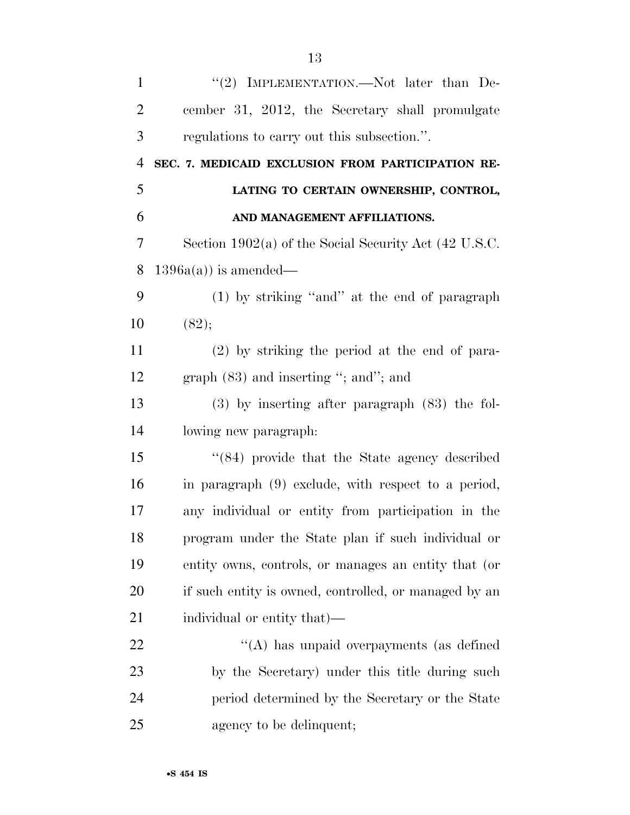| $\mathbf{1}$   | "(2) IMPLEMENTATION.—Not later than De-                 |
|----------------|---------------------------------------------------------|
| $\overline{2}$ | cember 31, 2012, the Secretary shall promulgate         |
| 3              | regulations to carry out this subsection.".             |
| $\overline{4}$ | SEC. 7. MEDICAID EXCLUSION FROM PARTICIPATION RE-       |
| 5              | LATING TO CERTAIN OWNERSHIP, CONTROL,                   |
| 6              | AND MANAGEMENT AFFILIATIONS.                            |
| 7              | Section $1902(a)$ of the Social Security Act (42 U.S.C. |
| 8              | $1396a(a)$ is amended—                                  |
| 9              | $(1)$ by striking "and" at the end of paragraph         |
| 10             | (82);                                                   |
| 11             | $(2)$ by striking the period at the end of para-        |
| 12             | graph $(83)$ and inserting "; and"; and                 |
| 13             | $(3)$ by inserting after paragraph $(83)$ the fol-      |
| 14             | lowing new paragraph:                                   |
| 15             | $\cdot$ (84) provide that the State agency described    |
| 16             | in paragraph (9) exclude, with respect to a period,     |
| 17             | any individual or entity from participation in the      |
| 18             | program under the State plan if such individual or      |
| 19             | entity owns, controls, or manages an entity that (or    |
| 20             | if such entity is owned, controlled, or managed by an   |
| 21             | individual or entity that)—                             |
| 22             | "(A) has unpaid overpayments (as defined                |
| 23             | by the Secretary) under this title during such          |
| 24             | period determined by the Secretary or the State         |
| 25             | agency to be delinquent;                                |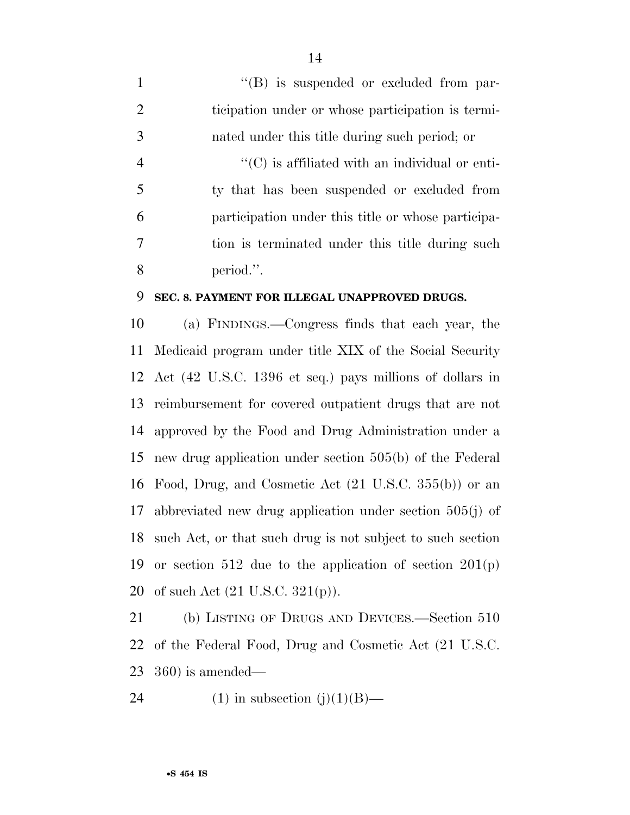$\langle$  (B) is suspended or excluded from par- ticipation under or whose participation is termi- nated under this title during such period; or ''(C) is affiliated with an individual or enti- ty that has been suspended or excluded from participation under this title or whose participa- tion is terminated under this title during such period.''.

#### **SEC. 8. PAYMENT FOR ILLEGAL UNAPPROVED DRUGS.**

 (a) FINDINGS.—Congress finds that each year, the Medicaid program under title XIX of the Social Security Act (42 U.S.C. 1396 et seq.) pays millions of dollars in reimbursement for covered outpatient drugs that are not approved by the Food and Drug Administration under a new drug application under section 505(b) of the Federal Food, Drug, and Cosmetic Act (21 U.S.C. 355(b)) or an abbreviated new drug application under section 505(j) of such Act, or that such drug is not subject to such section or section 512 due to the application of section 201(p) 20 of such Act  $(21 \text{ U.S.C. } 321(p))$ .

 (b) LISTING OF DRUGS AND DEVICES.—Section 510 of the Federal Food, Drug and Cosmetic Act (21 U.S.C. 360) is amended—

24 (1) in subsection  $(j)(1)(B)$ —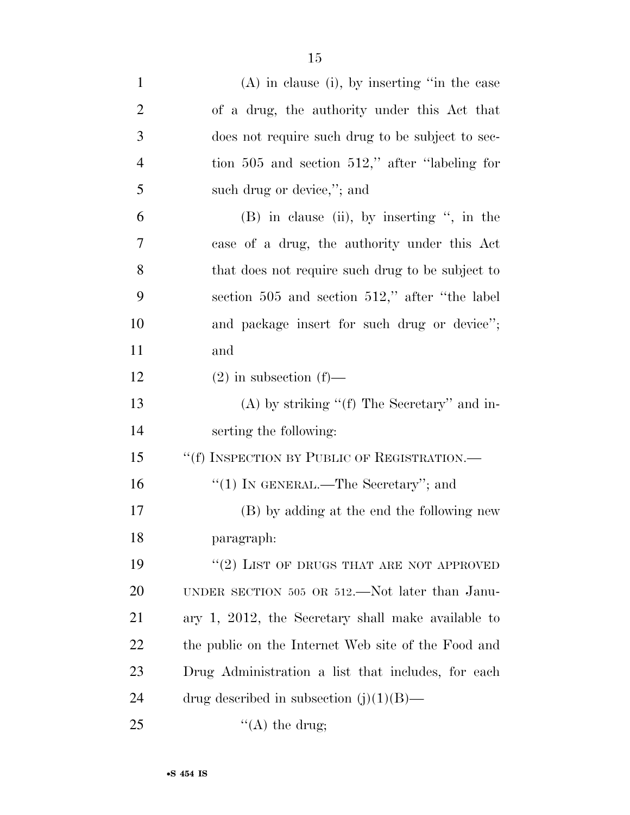| $\mathbf{1}$   | $(A)$ in clause (i), by inserting "in the case      |
|----------------|-----------------------------------------------------|
| $\overline{2}$ | of a drug, the authority under this Act that        |
| 3              | does not require such drug to be subject to sec-    |
| $\overline{4}$ | tion $505$ and section $512$ ," after "labeling for |
| 5              | such drug or device,"; and                          |
| 6              | $(B)$ in clause (ii), by inserting ", in the        |
| 7              | case of a drug, the authority under this Act        |
| 8              | that does not require such drug to be subject to    |
| 9              | section 505 and section 512," after "the label"     |
| 10             | and package insert for such drug or device";        |
| 11             | and                                                 |
| 12             | $(2)$ in subsection $(f)$ —                         |
| 13             | $(A)$ by striking " $(f)$ The Secretary" and in-    |
| 14             | serting the following:                              |
| 15             | "(f) INSPECTION BY PUBLIC OF REGISTRATION.—         |
| 16             | " $(1)$ IN GENERAL.—The Secretary"; and             |
| 17             | (B) by adding at the end the following new          |
| 18             | paragraph:                                          |
| 19             | $``(2)$ LIST OF DRUGS THAT ARE NOT APPROVED         |
| <b>20</b>      | UNDER SECTION 505 OR 512.—Not later than Janu-      |
| 21             | ary 1, 2012, the Secretary shall make available to  |
| 22             | the public on the Internet Web site of the Food and |
| 23             | Drug Administration a list that includes, for each  |
| 24             | drug described in subsection $(j)(1)(B)$ —          |
| 25             | $\lq\lq$ the drug;                                  |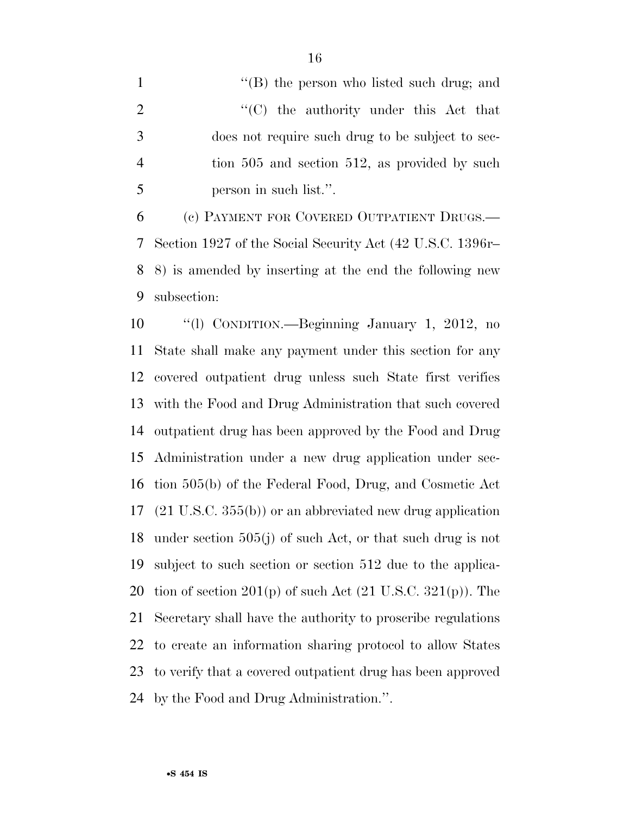1 ''(B) the person who listed such drug; and  $\langle ^{\prime}(C) \rangle$  the authority under this Act that does not require such drug to be subject to sec- tion 505 and section 512, as provided by such person in such list.''.

 (c) PAYMENT FOR COVERED OUTPATIENT DRUGS.— Section 1927 of the Social Security Act (42 U.S.C. 1396r– 8) is amended by inserting at the end the following new subsection:

 ''(l) CONDITION.—Beginning January 1, 2012, no State shall make any payment under this section for any covered outpatient drug unless such State first verifies with the Food and Drug Administration that such covered outpatient drug has been approved by the Food and Drug Administration under a new drug application under sec- tion 505(b) of the Federal Food, Drug, and Cosmetic Act (21 U.S.C. 355(b)) or an abbreviated new drug application under section 505(j) of such Act, or that such drug is not subject to such section or section 512 due to the applica-20 tion of section  $201(p)$  of such Act  $(21 \text{ U.S.C. } 321(p))$ . The Secretary shall have the authority to proscribe regulations to create an information sharing protocol to allow States to verify that a covered outpatient drug has been approved by the Food and Drug Administration.''.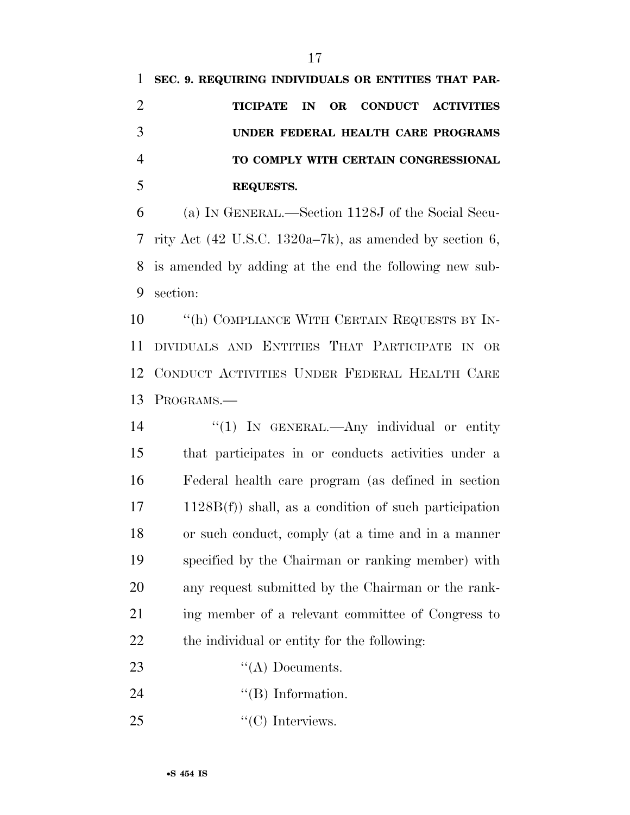| 1 SEC. 9. REQUIRING INDIVIDUALS OR ENTITIES THAT PAR- |
|-------------------------------------------------------|
| TICIPATE IN OR CONDUCT ACTIVITIES                     |
| UNDER FEDERAL HEALTH CARE PROGRAMS                    |
| TO COMPLY WITH CERTAIN CONGRESSIONAL                  |
| <b>REQUESTS.</b>                                      |
|                                                       |

 (a) IN GENERAL.—Section 1128J of the Social Secu- rity Act (42 U.S.C. 1320a–7k), as amended by section 6, is amended by adding at the end the following new sub-section:

**''**(h) COMPLIANCE WITH CERTAIN REQUESTS BY IN- DIVIDUALS AND ENTITIES THAT PARTICIPATE IN OR CONDUCT ACTIVITIES UNDER FEDERAL HEALTH CARE PROGRAMS.—

14 "(1) IN GENERAL.—Any individual or entity that participates in or conducts activities under a Federal health care program (as defined in section 1128B(f)) shall, as a condition of such participation or such conduct, comply (at a time and in a manner specified by the Chairman or ranking member) with any request submitted by the Chairman or the rank- ing member of a relevant committee of Congress to the individual or entity for the following:

- 23 "(A) Documents.
- 24  $"$ (B) Information.
- 25 "'(C) Interviews.